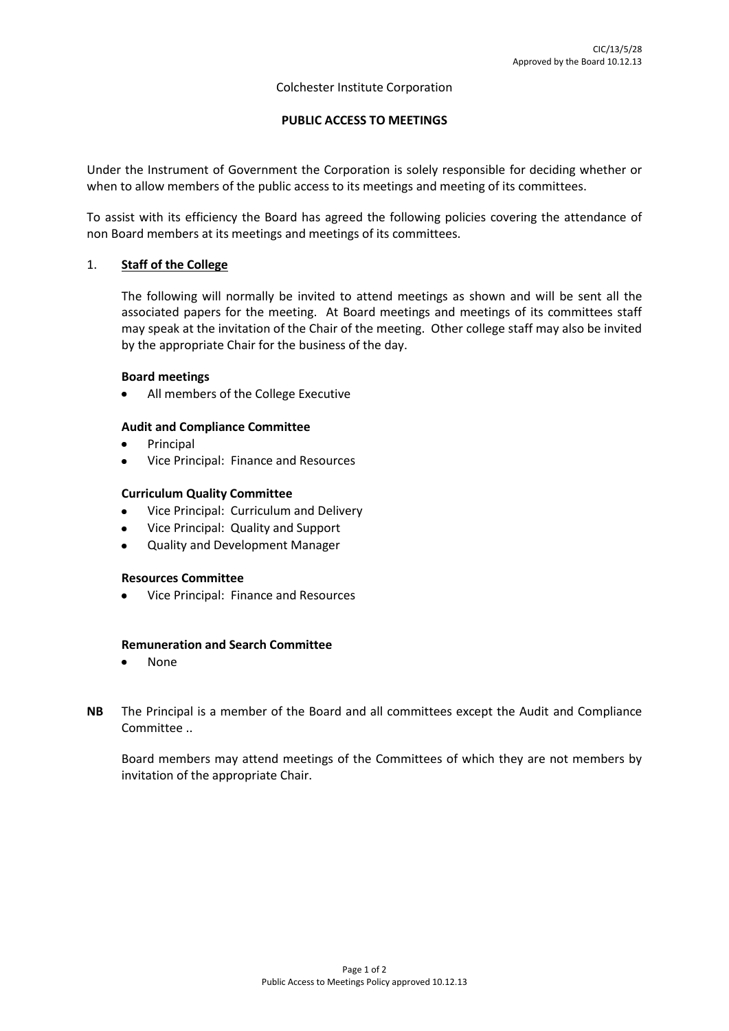### Colchester Institute Corporation

## **PUBLIC ACCESS TO MEETINGS**

Under the Instrument of Government the Corporation is solely responsible for deciding whether or when to allow members of the public access to its meetings and meeting of its committees.

To assist with its efficiency the Board has agreed the following policies covering the attendance of non Board members at its meetings and meetings of its committees.

## 1. **Staff of the College**

The following will normally be invited to attend meetings as shown and will be sent all the associated papers for the meeting. At Board meetings and meetings of its committees staff may speak at the invitation of the Chair of the meeting. Other college staff may also be invited by the appropriate Chair for the business of the day.

### **Board meetings**

All members of the College Executive

## **Audit and Compliance Committee**

- Principal
- Vice Principal: Finance and Resources

## **Curriculum Quality Committee**

- Vice Principal: Curriculum and Delivery
- Vice Principal: Quality and Support
- Quality and Development Manager

## **Resources Committee**

Vice Principal: Finance and Resources

## **Remuneration and Search Committee**

- None  $\bullet$
- **NB** The Principal is a member of the Board and all committees except the Audit and Compliance Committee ..

Board members may attend meetings of the Committees of which they are not members by invitation of the appropriate Chair.